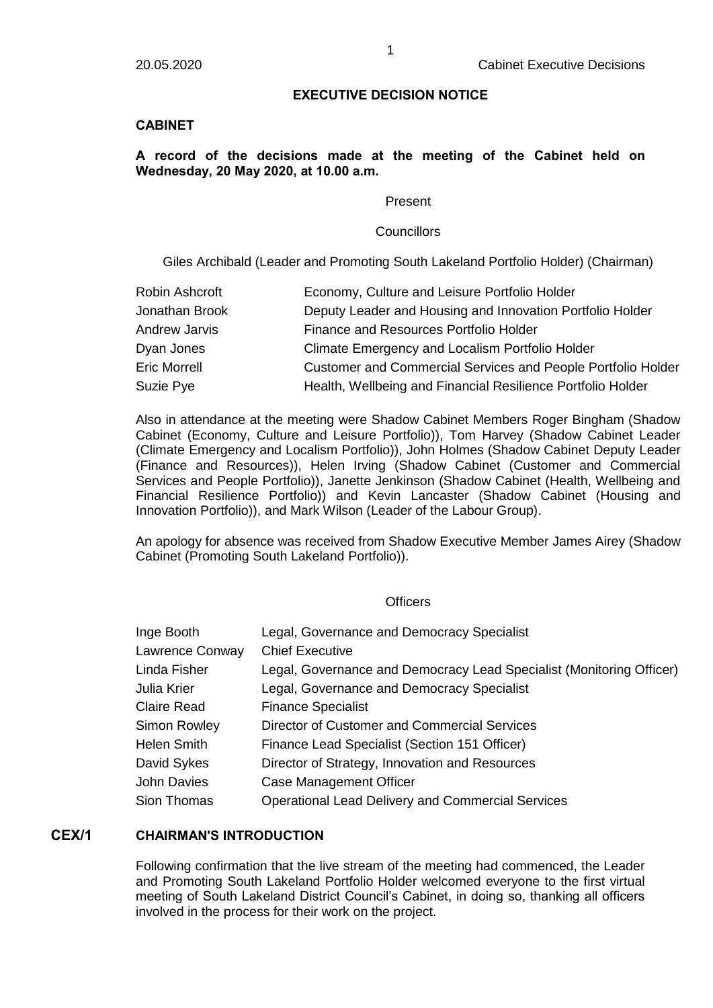### **EXECUTIVE DECISION NOTICE**

## **CABINET**

# **A record of the decisions made at the meeting of the Cabinet held on Wednesday, 20 May 2020, at 10.00 a.m.**

#### Present

#### **Councillors**

Giles Archibald (Leader and Promoting South Lakeland Portfolio Holder) (Chairman)

| Robin Ashcroft       | Economy, Culture and Leisure Portfolio Holder                |
|----------------------|--------------------------------------------------------------|
| Jonathan Brook       | Deputy Leader and Housing and Innovation Portfolio Holder    |
| <b>Andrew Jarvis</b> | Finance and Resources Portfolio Holder                       |
| Dyan Jones           | Climate Emergency and Localism Portfolio Holder              |
| <b>Eric Morrell</b>  | Customer and Commercial Services and People Portfolio Holder |
| Suzie Pye            | Health, Wellbeing and Financial Resilience Portfolio Holder  |

Also in attendance at the meeting were Shadow Cabinet Members Roger Bingham (Shadow Cabinet (Economy, Culture and Leisure Portfolio)), Tom Harvey (Shadow Cabinet Leader (Climate Emergency and Localism Portfolio)), John Holmes (Shadow Cabinet Deputy Leader (Finance and Resources)), Helen Irving (Shadow Cabinet (Customer and Commercial Services and People Portfolio)), Janette Jenkinson (Shadow Cabinet (Health, Wellbeing and Financial Resilience Portfolio)) and Kevin Lancaster (Shadow Cabinet (Housing and Innovation Portfolio)), and Mark Wilson (Leader of the Labour Group).

An apology for absence was received from Shadow Executive Member James Airey (Shadow Cabinet (Promoting South Lakeland Portfolio)).

#### **Officers**

| Inge Booth      | Legal, Governance and Democracy Specialist                           |
|-----------------|----------------------------------------------------------------------|
| Lawrence Conway | <b>Chief Executive</b>                                               |
| Linda Fisher    | Legal, Governance and Democracy Lead Specialist (Monitoring Officer) |
| Julia Krier     | Legal, Governance and Democracy Specialist                           |
| Claire Read     | <b>Finance Specialist</b>                                            |
| Simon Rowley    | Director of Customer and Commercial Services                         |
| Helen Smith     | Finance Lead Specialist (Section 151 Officer)                        |
| David Sykes     | Director of Strategy, Innovation and Resources                       |
| John Davies     | <b>Case Management Officer</b>                                       |
| Sion Thomas     | <b>Operational Lead Delivery and Commercial Services</b>             |

# **CEX/1 CHAIRMAN'S INTRODUCTION**

Following confirmation that the live stream of the meeting had commenced, the Leader and Promoting South Lakeland Portfolio Holder welcomed everyone to the first virtual meeting of South Lakeland District Council's Cabinet, in doing so, thanking all officers involved in the process for their work on the project.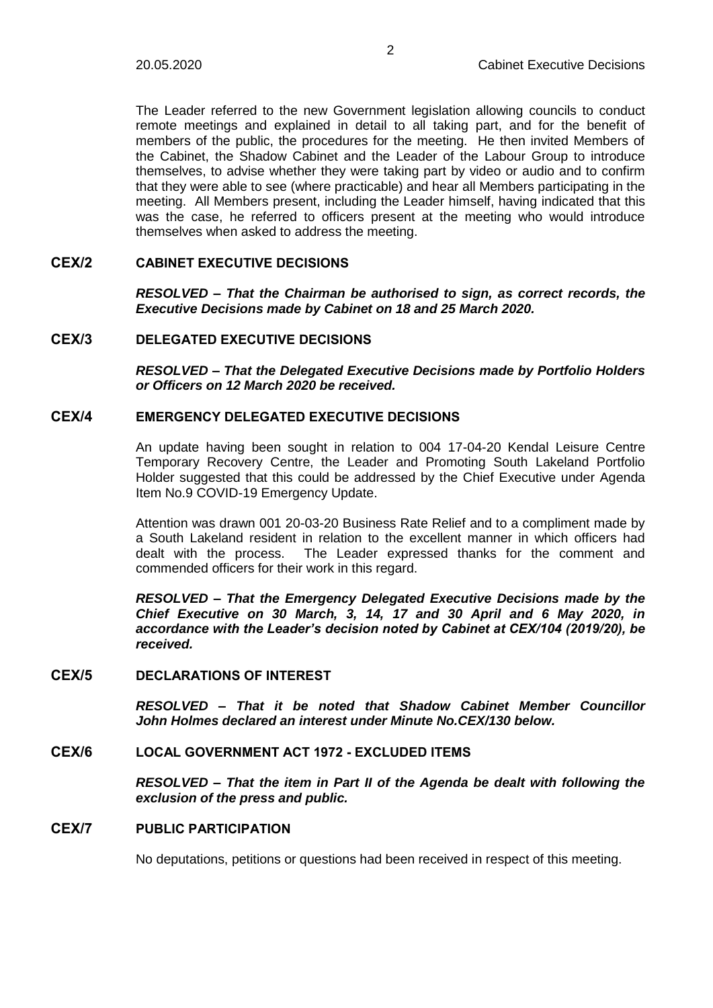The Leader referred to the new Government legislation allowing councils to conduct remote meetings and explained in detail to all taking part, and for the benefit of members of the public, the procedures for the meeting. He then invited Members of the Cabinet, the Shadow Cabinet and the Leader of the Labour Group to introduce themselves, to advise whether they were taking part by video or audio and to confirm that they were able to see (where practicable) and hear all Members participating in the meeting. All Members present, including the Leader himself, having indicated that this was the case, he referred to officers present at the meeting who would introduce themselves when asked to address the meeting.

# **CEX/2 CABINET EXECUTIVE DECISIONS**

*RESOLVED – That the Chairman be authorised to sign, as correct records, the Executive Decisions made by Cabinet on 18 and 25 March 2020.*

# **CEX/3 DELEGATED EXECUTIVE DECISIONS**

*RESOLVED – That the Delegated Executive Decisions made by Portfolio Holders or Officers on 12 March 2020 be received.*

# **CEX/4 EMERGENCY DELEGATED EXECUTIVE DECISIONS**

An update having been sought in relation to 004 17-04-20 Kendal Leisure Centre Temporary Recovery Centre, the Leader and Promoting South Lakeland Portfolio Holder suggested that this could be addressed by the Chief Executive under Agenda Item No.9 COVID-19 Emergency Update.

Attention was drawn 001 20-03-20 Business Rate Relief and to a compliment made by a South Lakeland resident in relation to the excellent manner in which officers had dealt with the process. The Leader expressed thanks for the comment and commended officers for their work in this regard.

*RESOLVED – That the Emergency Delegated Executive Decisions made by the Chief Executive on 30 March, 3, 14, 17 and 30 April and 6 May 2020, in accordance with the Leader's decision noted by Cabinet at CEX/104 (2019/20), be received.*

# **CEX/5 DECLARATIONS OF INTEREST**

*RESOLVED – That it be noted that Shadow Cabinet Member Councillor John Holmes declared an interest under Minute No.CEX/130 below.*

#### **CEX/6 LOCAL GOVERNMENT ACT 1972 - EXCLUDED ITEMS**

*RESOLVED – That the item in Part II of the Agenda be dealt with following the exclusion of the press and public.*

### **CEX/7 PUBLIC PARTICIPATION**

No deputations, petitions or questions had been received in respect of this meeting.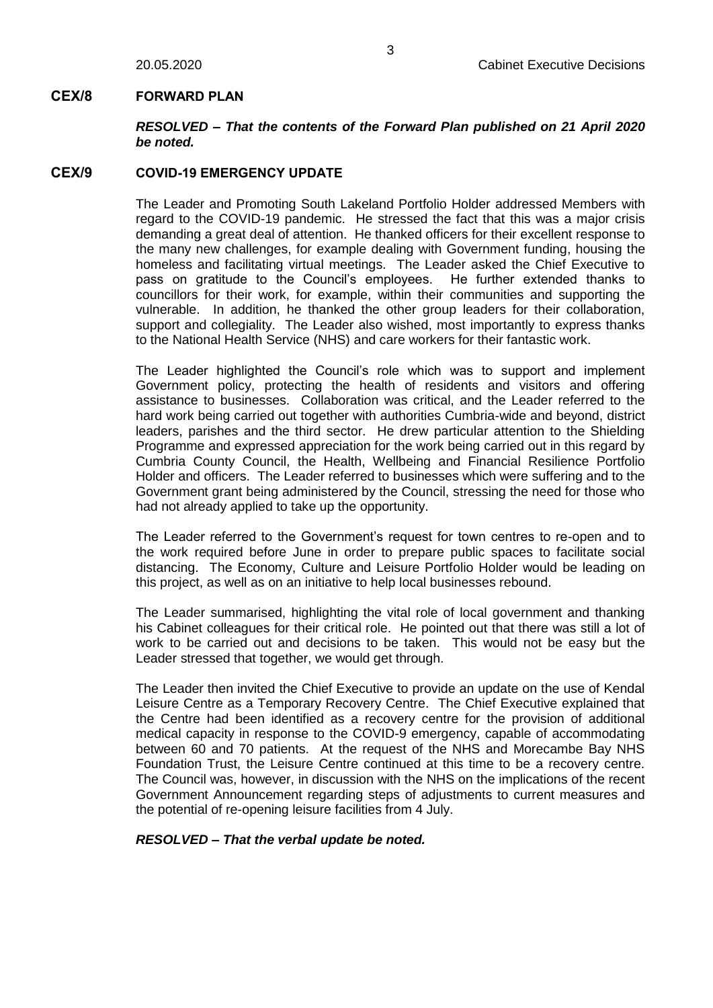# **CEX/8 FORWARD PLAN**

*RESOLVED – That the contents of the Forward Plan published on 21 April 2020 be noted.*

# **CEX/9 COVID-19 EMERGENCY UPDATE**

The Leader and Promoting South Lakeland Portfolio Holder addressed Members with regard to the COVID-19 pandemic. He stressed the fact that this was a major crisis demanding a great deal of attention. He thanked officers for their excellent response to the many new challenges, for example dealing with Government funding, housing the homeless and facilitating virtual meetings. The Leader asked the Chief Executive to pass on gratitude to the Council's employees. He further extended thanks to councillors for their work, for example, within their communities and supporting the vulnerable. In addition, he thanked the other group leaders for their collaboration, support and collegiality. The Leader also wished, most importantly to express thanks to the National Health Service (NHS) and care workers for their fantastic work.

The Leader highlighted the Council's role which was to support and implement Government policy, protecting the health of residents and visitors and offering assistance to businesses. Collaboration was critical, and the Leader referred to the hard work being carried out together with authorities Cumbria-wide and beyond, district leaders, parishes and the third sector. He drew particular attention to the Shielding Programme and expressed appreciation for the work being carried out in this regard by Cumbria County Council, the Health, Wellbeing and Financial Resilience Portfolio Holder and officers. The Leader referred to businesses which were suffering and to the Government grant being administered by the Council, stressing the need for those who had not already applied to take up the opportunity.

The Leader referred to the Government's request for town centres to re-open and to the work required before June in order to prepare public spaces to facilitate social distancing. The Economy, Culture and Leisure Portfolio Holder would be leading on this project, as well as on an initiative to help local businesses rebound.

The Leader summarised, highlighting the vital role of local government and thanking his Cabinet colleagues for their critical role. He pointed out that there was still a lot of work to be carried out and decisions to be taken. This would not be easy but the Leader stressed that together, we would get through.

The Leader then invited the Chief Executive to provide an update on the use of Kendal Leisure Centre as a Temporary Recovery Centre. The Chief Executive explained that the Centre had been identified as a recovery centre for the provision of additional medical capacity in response to the COVID-9 emergency, capable of accommodating between 60 and 70 patients. At the request of the NHS and Morecambe Bay NHS Foundation Trust, the Leisure Centre continued at this time to be a recovery centre. The Council was, however, in discussion with the NHS on the implications of the recent Government Announcement regarding steps of adjustments to current measures and the potential of re-opening leisure facilities from 4 July.

*RESOLVED – That the verbal update be noted.*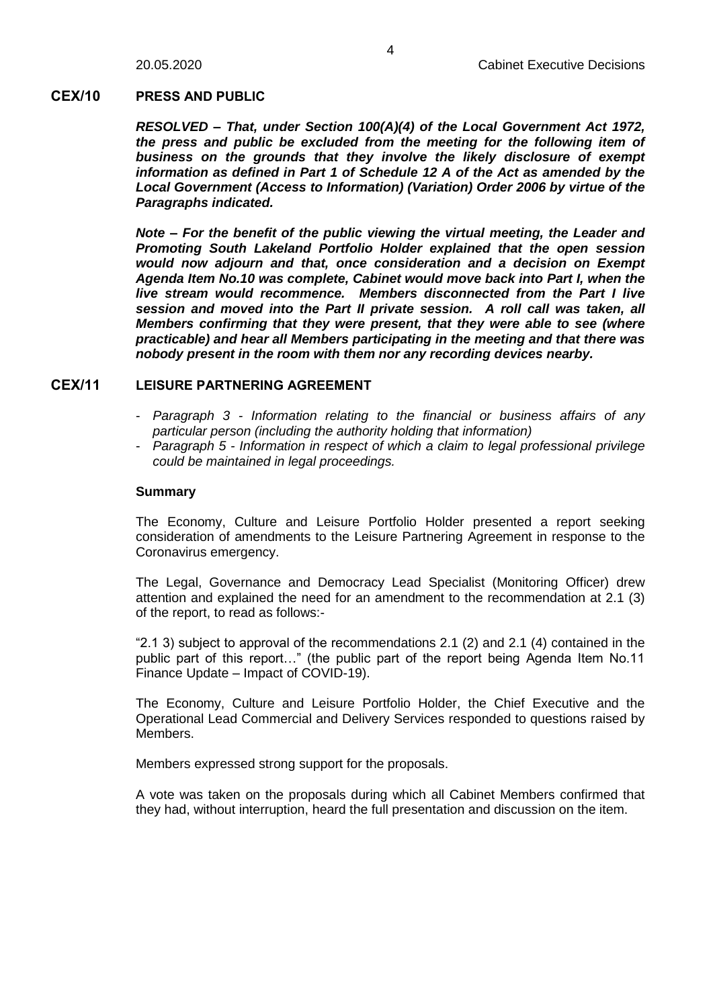### **CEX/10 PRESS AND PUBLIC**

*RESOLVED – That, under Section 100(A)(4) of the Local Government Act 1972, the press and public be excluded from the meeting for the following item of business on the grounds that they involve the likely disclosure of exempt information as defined in Part 1 of Schedule 12 A of the Act as amended by the Local Government (Access to Information) (Variation) Order 2006 by virtue of the Paragraphs indicated.*

*Note – For the benefit of the public viewing the virtual meeting, the Leader and Promoting South Lakeland Portfolio Holder explained that the open session would now adjourn and that, once consideration and a decision on Exempt Agenda Item No.10 was complete, Cabinet would move back into Part I, when the live stream would recommence. Members disconnected from the Part I live session and moved into the Part II private session. A roll call was taken, all Members confirming that they were present, that they were able to see (where practicable) and hear all Members participating in the meeting and that there was nobody present in the room with them nor any recording devices nearby.*

## **CEX/11 LEISURE PARTNERING AGREEMENT**

- *Paragraph 3 - Information relating to the financial or business affairs of any particular person (including the authority holding that information)*
- *Paragraph 5 - Information in respect of which a claim to legal professional privilege could be maintained in legal proceedings.*

#### **Summary**

The Economy, Culture and Leisure Portfolio Holder presented a report seeking consideration of amendments to the Leisure Partnering Agreement in response to the Coronavirus emergency.

The Legal, Governance and Democracy Lead Specialist (Monitoring Officer) drew attention and explained the need for an amendment to the recommendation at 2.1 (3) of the report, to read as follows:-

"2.1 3) subject to approval of the recommendations 2.1 (2) and 2.1 (4) contained in the public part of this report…" (the public part of the report being Agenda Item No.11 Finance Update – Impact of COVID-19).

The Economy, Culture and Leisure Portfolio Holder, the Chief Executive and the Operational Lead Commercial and Delivery Services responded to questions raised by Members.

Members expressed strong support for the proposals.

A vote was taken on the proposals during which all Cabinet Members confirmed that they had, without interruption, heard the full presentation and discussion on the item.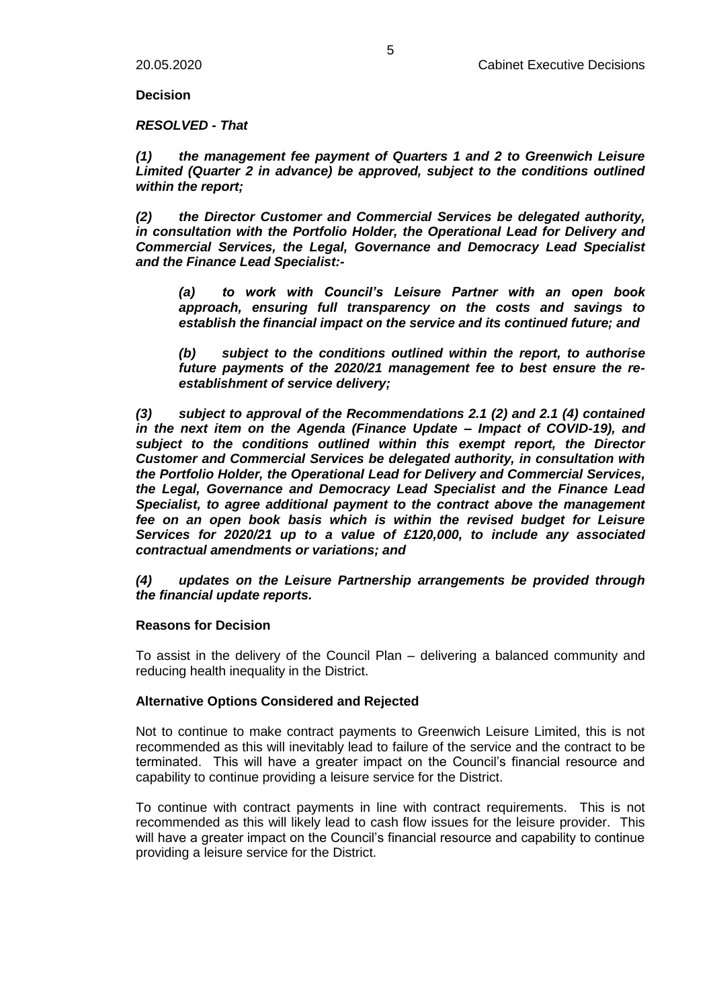**Decision**

*RESOLVED - That*

*(1) the management fee payment of Quarters 1 and 2 to Greenwich Leisure Limited (Quarter 2 in advance) be approved, subject to the conditions outlined within the report;*

*(2) the Director Customer and Commercial Services be delegated authority, in consultation with the Portfolio Holder, the Operational Lead for Delivery and Commercial Services, the Legal, Governance and Democracy Lead Specialist and the Finance Lead Specialist:-*

*(a) to work with Council's Leisure Partner with an open book approach, ensuring full transparency on the costs and savings to establish the financial impact on the service and its continued future; and*

*(b) subject to the conditions outlined within the report, to authorise future payments of the 2020/21 management fee to best ensure the reestablishment of service delivery;*

*(3) subject to approval of the Recommendations 2.1 (2) and 2.1 (4) contained in the next item on the Agenda (Finance Update – Impact of COVID-19), and subject to the conditions outlined within this exempt report, the Director Customer and Commercial Services be delegated authority, in consultation with the Portfolio Holder, the Operational Lead for Delivery and Commercial Services, the Legal, Governance and Democracy Lead Specialist and the Finance Lead Specialist, to agree additional payment to the contract above the management fee on an open book basis which is within the revised budget for Leisure Services for 2020/21 up to a value of £120,000, to include any associated contractual amendments or variations; and*

#### *(4) updates on the Leisure Partnership arrangements be provided through the financial update reports.*

#### **Reasons for Decision**

To assist in the delivery of the Council Plan – delivering a balanced community and reducing health inequality in the District.

#### **Alternative Options Considered and Rejected**

Not to continue to make contract payments to Greenwich Leisure Limited, this is not recommended as this will inevitably lead to failure of the service and the contract to be terminated. This will have a greater impact on the Council's financial resource and capability to continue providing a leisure service for the District.

To continue with contract payments in line with contract requirements. This is not recommended as this will likely lead to cash flow issues for the leisure provider. This will have a greater impact on the Council's financial resource and capability to continue providing a leisure service for the District.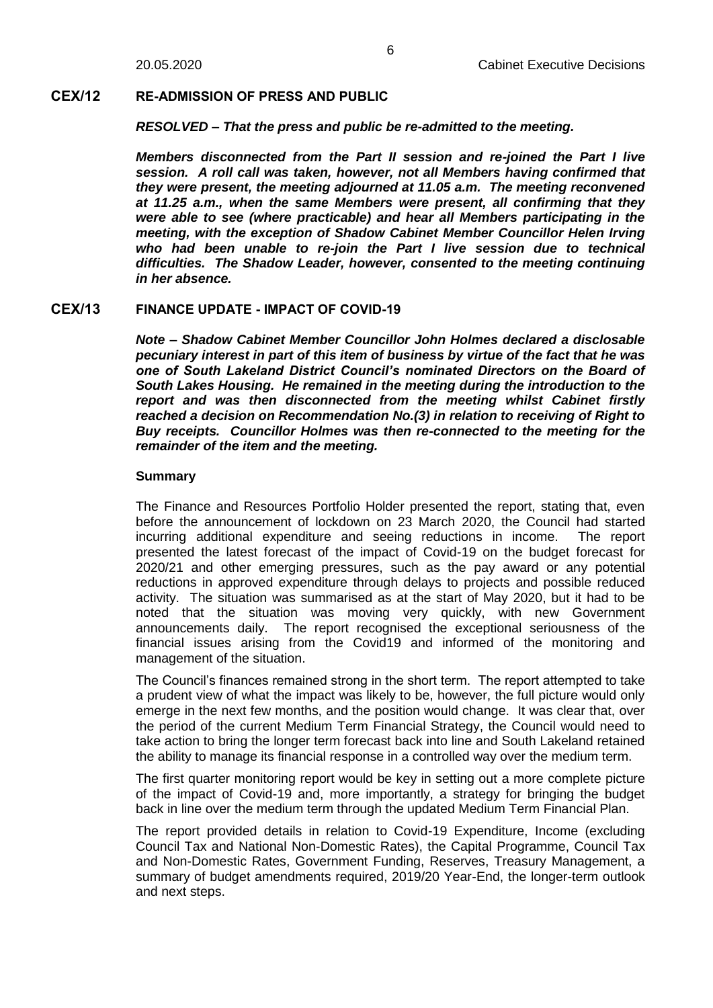### **CEX/12 RE-ADMISSION OF PRESS AND PUBLIC**

*RESOLVED – That the press and public be re-admitted to the meeting.*

*Members disconnected from the Part II session and re-joined the Part I live session. A roll call was taken, however, not all Members having confirmed that they were present, the meeting adjourned at 11.05 a.m. The meeting reconvened at 11.25 a.m., when the same Members were present, all confirming that they were able to see (where practicable) and hear all Members participating in the meeting, with the exception of Shadow Cabinet Member Councillor Helen Irving who had been unable to re-join the Part I live session due to technical difficulties. The Shadow Leader, however, consented to the meeting continuing in her absence.*

## **CEX/13 FINANCE UPDATE - IMPACT OF COVID-19**

*Note – Shadow Cabinet Member Councillor John Holmes declared a disclosable pecuniary interest in part of this item of business by virtue of the fact that he was one of South Lakeland District Council's nominated Directors on the Board of South Lakes Housing. He remained in the meeting during the introduction to the report and was then disconnected from the meeting whilst Cabinet firstly reached a decision on Recommendation No.(3) in relation to receiving of Right to Buy receipts. Councillor Holmes was then re-connected to the meeting for the remainder of the item and the meeting.*

## **Summary**

The Finance and Resources Portfolio Holder presented the report, stating that, even before the announcement of lockdown on 23 March 2020, the Council had started incurring additional expenditure and seeing reductions in income. The report presented the latest forecast of the impact of Covid-19 on the budget forecast for 2020/21 and other emerging pressures, such as the pay award or any potential reductions in approved expenditure through delays to projects and possible reduced activity. The situation was summarised as at the start of May 2020, but it had to be noted that the situation was moving very quickly, with new Government announcements daily. The report recognised the exceptional seriousness of the financial issues arising from the Covid19 and informed of the monitoring and management of the situation.

The Council's finances remained strong in the short term. The report attempted to take a prudent view of what the impact was likely to be, however, the full picture would only emerge in the next few months, and the position would change. It was clear that, over the period of the current Medium Term Financial Strategy, the Council would need to take action to bring the longer term forecast back into line and South Lakeland retained the ability to manage its financial response in a controlled way over the medium term.

The first quarter monitoring report would be key in setting out a more complete picture of the impact of Covid-19 and, more importantly, a strategy for bringing the budget back in line over the medium term through the updated Medium Term Financial Plan.

The report provided details in relation to Covid-19 Expenditure, Income (excluding Council Tax and National Non-Domestic Rates), the Capital Programme, Council Tax and Non-Domestic Rates, Government Funding, Reserves, Treasury Management, a summary of budget amendments required, 2019/20 Year-End, the longer-term outlook and next steps.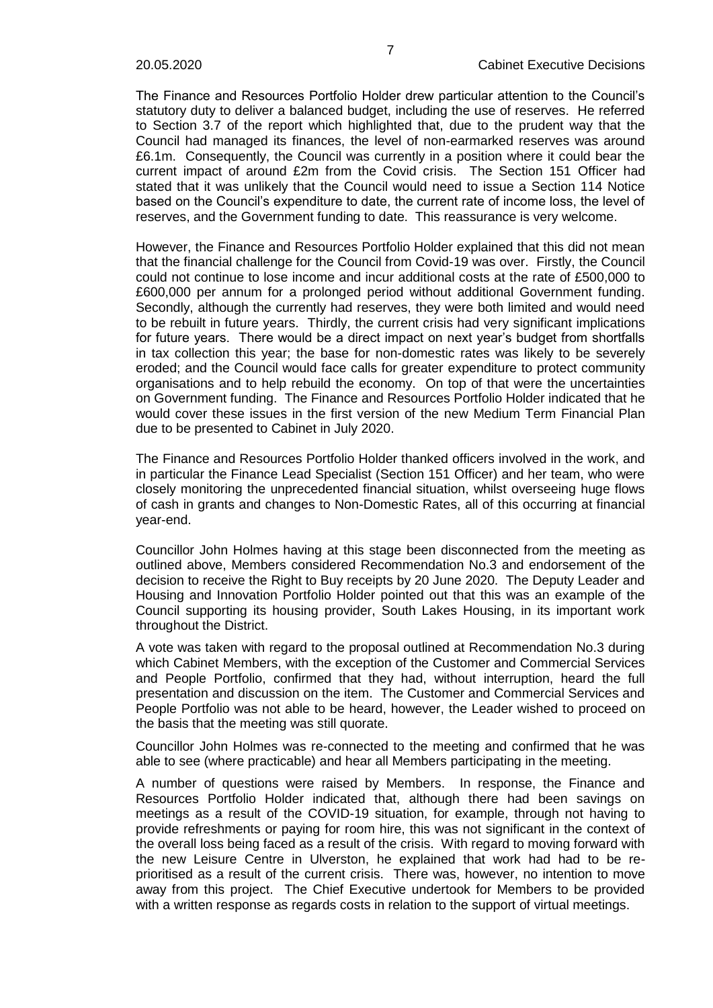The Finance and Resources Portfolio Holder drew particular attention to the Council's statutory duty to deliver a balanced budget, including the use of reserves. He referred to Section 3.7 of the report which highlighted that, due to the prudent way that the Council had managed its finances, the level of non-earmarked reserves was around £6.1m. Consequently, the Council was currently in a position where it could bear the current impact of around £2m from the Covid crisis. The Section 151 Officer had stated that it was unlikely that the Council would need to issue a Section 114 Notice based on the Council's expenditure to date, the current rate of income loss, the level of reserves, and the Government funding to date. This reassurance is very welcome.

However, the Finance and Resources Portfolio Holder explained that this did not mean that the financial challenge for the Council from Covid-19 was over. Firstly, the Council could not continue to lose income and incur additional costs at the rate of £500,000 to £600,000 per annum for a prolonged period without additional Government funding. Secondly, although the currently had reserves, they were both limited and would need to be rebuilt in future years. Thirdly, the current crisis had very significant implications for future years. There would be a direct impact on next year's budget from shortfalls in tax collection this year; the base for non-domestic rates was likely to be severely eroded; and the Council would face calls for greater expenditure to protect community organisations and to help rebuild the economy. On top of that were the uncertainties on Government funding. The Finance and Resources Portfolio Holder indicated that he would cover these issues in the first version of the new Medium Term Financial Plan due to be presented to Cabinet in July 2020.

The Finance and Resources Portfolio Holder thanked officers involved in the work, and in particular the Finance Lead Specialist (Section 151 Officer) and her team, who were closely monitoring the unprecedented financial situation, whilst overseeing huge flows of cash in grants and changes to Non-Domestic Rates, all of this occurring at financial year-end.

Councillor John Holmes having at this stage been disconnected from the meeting as outlined above, Members considered Recommendation No.3 and endorsement of the decision to receive the Right to Buy receipts by 20 June 2020. The Deputy Leader and Housing and Innovation Portfolio Holder pointed out that this was an example of the Council supporting its housing provider, South Lakes Housing, in its important work throughout the District.

A vote was taken with regard to the proposal outlined at Recommendation No.3 during which Cabinet Members, with the exception of the Customer and Commercial Services and People Portfolio, confirmed that they had, without interruption, heard the full presentation and discussion on the item. The Customer and Commercial Services and People Portfolio was not able to be heard, however, the Leader wished to proceed on the basis that the meeting was still quorate.

Councillor John Holmes was re-connected to the meeting and confirmed that he was able to see (where practicable) and hear all Members participating in the meeting.

A number of questions were raised by Members. In response, the Finance and Resources Portfolio Holder indicated that, although there had been savings on meetings as a result of the COVID-19 situation, for example, through not having to provide refreshments or paying for room hire, this was not significant in the context of the overall loss being faced as a result of the crisis. With regard to moving forward with the new Leisure Centre in Ulverston, he explained that work had had to be reprioritised as a result of the current crisis. There was, however, no intention to move away from this project. The Chief Executive undertook for Members to be provided with a written response as regards costs in relation to the support of virtual meetings.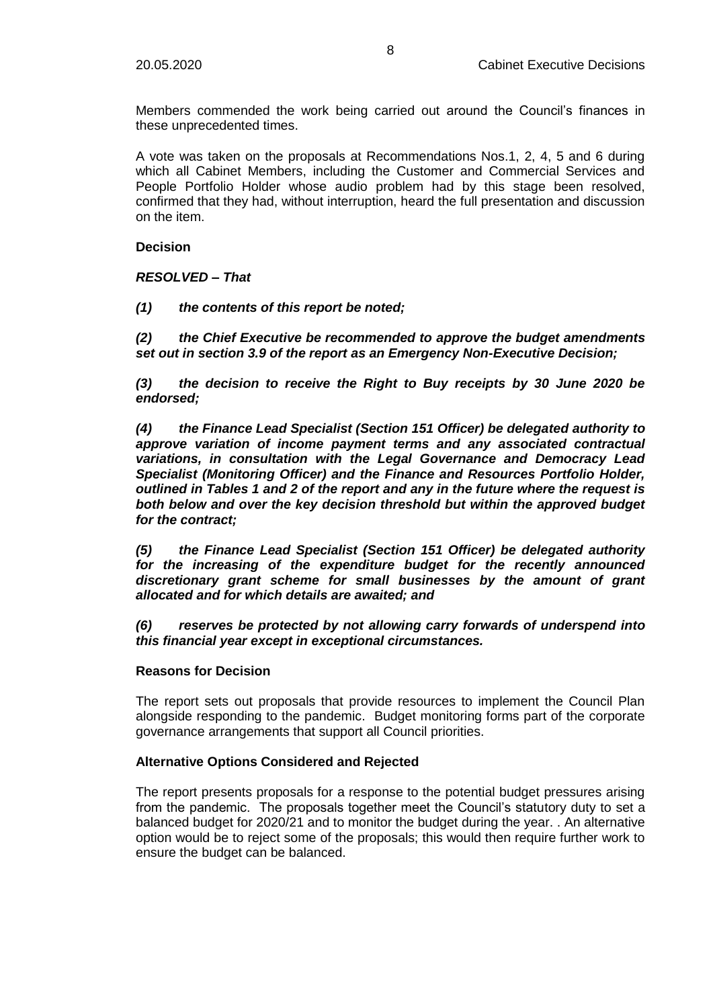Members commended the work being carried out around the Council's finances in these unprecedented times.

A vote was taken on the proposals at Recommendations Nos.1, 2, 4, 5 and 6 during which all Cabinet Members, including the Customer and Commercial Services and People Portfolio Holder whose audio problem had by this stage been resolved, confirmed that they had, without interruption, heard the full presentation and discussion on the item.

**Decision**

*RESOLVED – That*

*(1) the contents of this report be noted;*

*(2) the Chief Executive be recommended to approve the budget amendments set out in section 3.9 of the report as an Emergency Non-Executive Decision;*

*(3) the decision to receive the Right to Buy receipts by 30 June 2020 be endorsed;*

*(4) the Finance Lead Specialist (Section 151 Officer) be delegated authority to approve variation of income payment terms and any associated contractual variations, in consultation with the Legal Governance and Democracy Lead Specialist (Monitoring Officer) and the Finance and Resources Portfolio Holder, outlined in Tables 1 and 2 of the report and any in the future where the request is both below and over the key decision threshold but within the approved budget for the contract;*

*(5) the Finance Lead Specialist (Section 151 Officer) be delegated authority for the increasing of the expenditure budget for the recently announced discretionary grant scheme for small businesses by the amount of grant allocated and for which details are awaited; and*

*(6) reserves be protected by not allowing carry forwards of underspend into this financial year except in exceptional circumstances.*

#### **Reasons for Decision**

The report sets out proposals that provide resources to implement the Council Plan alongside responding to the pandemic. Budget monitoring forms part of the corporate governance arrangements that support all Council priorities.

#### **Alternative Options Considered and Rejected**

The report presents proposals for a response to the potential budget pressures arising from the pandemic. The proposals together meet the Council's statutory duty to set a balanced budget for 2020/21 and to monitor the budget during the year. . An alternative option would be to reject some of the proposals; this would then require further work to ensure the budget can be balanced.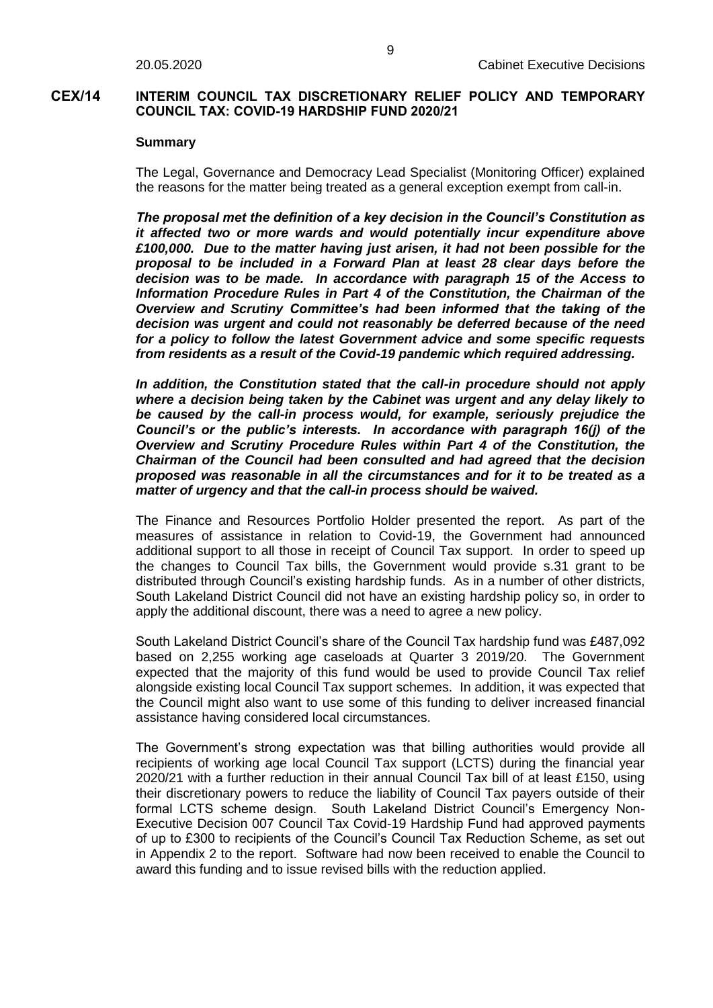## **CEX/14 INTERIM COUNCIL TAX DISCRETIONARY RELIEF POLICY AND TEMPORARY COUNCIL TAX: COVID-19 HARDSHIP FUND 2020/21**

#### **Summary**

The Legal, Governance and Democracy Lead Specialist (Monitoring Officer) explained the reasons for the matter being treated as a general exception exempt from call-in.

*The proposal met the definition of a key decision in the Council's Constitution as it affected two or more wards and would potentially incur expenditure above £100,000. Due to the matter having just arisen, it had not been possible for the proposal to be included in a Forward Plan at least 28 clear days before the decision was to be made. In accordance with paragraph 15 of the Access to Information Procedure Rules in Part 4 of the Constitution, the Chairman of the Overview and Scrutiny Committee's had been informed that the taking of the decision was urgent and could not reasonably be deferred because of the need for a policy to follow the latest Government advice and some specific requests from residents as a result of the Covid-19 pandemic which required addressing.*

*In addition, the Constitution stated that the call-in procedure should not apply where a decision being taken by the Cabinet was urgent and any delay likely to be caused by the call-in process would, for example, seriously prejudice the Council's or the public's interests. In accordance with paragraph 16(j) of the Overview and Scrutiny Procedure Rules within Part 4 of the Constitution, the Chairman of the Council had been consulted and had agreed that the decision proposed was reasonable in all the circumstances and for it to be treated as a matter of urgency and that the call-in process should be waived.*

The Finance and Resources Portfolio Holder presented the report. As part of the measures of assistance in relation to Covid-19, the Government had announced additional support to all those in receipt of Council Tax support. In order to speed up the changes to Council Tax bills, the Government would provide s.31 grant to be distributed through Council's existing hardship funds. As in a number of other districts, South Lakeland District Council did not have an existing hardship policy so, in order to apply the additional discount, there was a need to agree a new policy.

South Lakeland District Council's share of the Council Tax hardship fund was £487,092 based on 2,255 working age caseloads at Quarter 3 2019/20. The Government expected that the majority of this fund would be used to provide Council Tax relief alongside existing local Council Tax support schemes. In addition, it was expected that the Council might also want to use some of this funding to deliver increased financial assistance having considered local circumstances.

The Government's strong expectation was that billing authorities would provide all recipients of working age local Council Tax support (LCTS) during the financial year 2020/21 with a further reduction in their annual Council Tax bill of at least £150, using their discretionary powers to reduce the liability of Council Tax payers outside of their formal LCTS scheme design. South Lakeland District Council's Emergency Non-Executive Decision 007 Council Tax Covid-19 Hardship Fund had approved payments of up to £300 to recipients of the Council's Council Tax Reduction Scheme, as set out in Appendix 2 to the report. Software had now been received to enable the Council to award this funding and to issue revised bills with the reduction applied.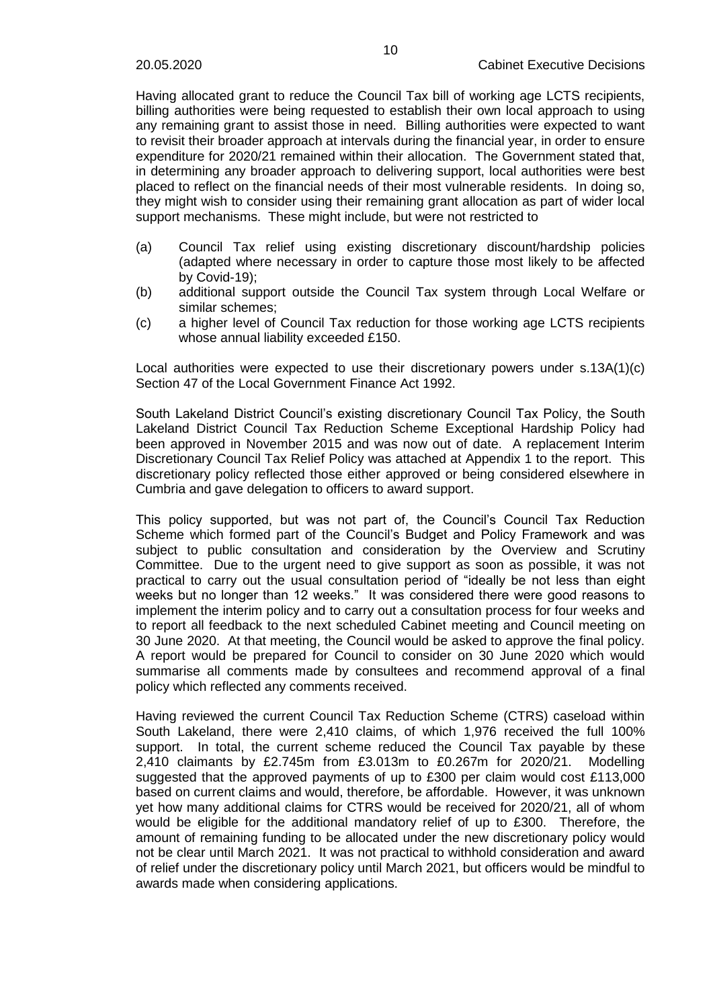Having allocated grant to reduce the Council Tax bill of working age LCTS recipients, billing authorities were being requested to establish their own local approach to using any remaining grant to assist those in need. Billing authorities were expected to want to revisit their broader approach at intervals during the financial year, in order to ensure expenditure for 2020/21 remained within their allocation. The Government stated that, in determining any broader approach to delivering support, local authorities were best placed to reflect on the financial needs of their most vulnerable residents. In doing so, they might wish to consider using their remaining grant allocation as part of wider local support mechanisms. These might include, but were not restricted to

- (a) Council Tax relief using existing discretionary discount/hardship policies (adapted where necessary in order to capture those most likely to be affected by Covid-19);
- (b) additional support outside the Council Tax system through Local Welfare or similar schemes;
- (c) a higher level of Council Tax reduction for those working age LCTS recipients whose annual liability exceeded £150.

Local authorities were expected to use their discretionary powers under s.13A(1)(c) Section 47 of the Local Government Finance Act 1992.

South Lakeland District Council's existing discretionary Council Tax Policy, the South Lakeland District Council Tax Reduction Scheme Exceptional Hardship Policy had been approved in November 2015 and was now out of date. A replacement Interim Discretionary Council Tax Relief Policy was attached at Appendix 1 to the report. This discretionary policy reflected those either approved or being considered elsewhere in Cumbria and gave delegation to officers to award support.

This policy supported, but was not part of, the Council's Council Tax Reduction Scheme which formed part of the Council's Budget and Policy Framework and was subject to public consultation and consideration by the Overview and Scrutiny Committee. Due to the urgent need to give support as soon as possible, it was not practical to carry out the usual consultation period of "ideally be not less than eight weeks but no longer than 12 weeks." It was considered there were good reasons to implement the interim policy and to carry out a consultation process for four weeks and to report all feedback to the next scheduled Cabinet meeting and Council meeting on 30 June 2020. At that meeting, the Council would be asked to approve the final policy. A report would be prepared for Council to consider on 30 June 2020 which would summarise all comments made by consultees and recommend approval of a final policy which reflected any comments received.

Having reviewed the current Council Tax Reduction Scheme (CTRS) caseload within South Lakeland, there were 2,410 claims, of which 1,976 received the full 100% support. In total, the current scheme reduced the Council Tax payable by these 2,410 claimants by £2.745m from £3.013m to £0.267m for 2020/21. Modelling suggested that the approved payments of up to £300 per claim would cost £113,000 based on current claims and would, therefore, be affordable. However, it was unknown yet how many additional claims for CTRS would be received for 2020/21, all of whom would be eligible for the additional mandatory relief of up to £300. Therefore, the amount of remaining funding to be allocated under the new discretionary policy would not be clear until March 2021. It was not practical to withhold consideration and award of relief under the discretionary policy until March 2021, but officers would be mindful to awards made when considering applications.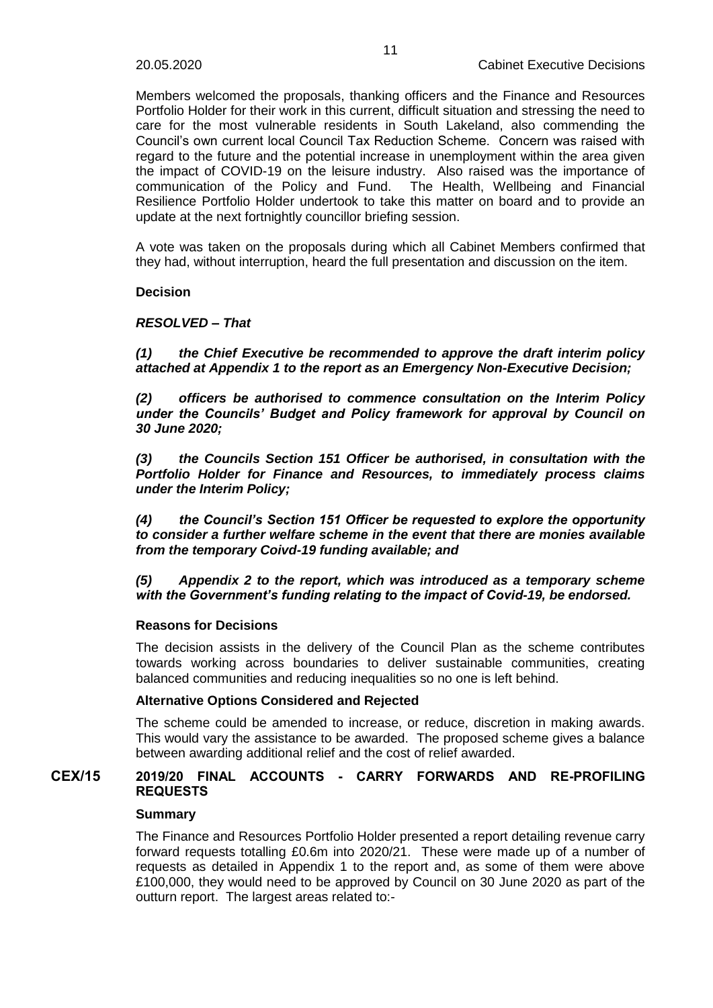Members welcomed the proposals, thanking officers and the Finance and Resources Portfolio Holder for their work in this current, difficult situation and stressing the need to care for the most vulnerable residents in South Lakeland, also commending the Council's own current local Council Tax Reduction Scheme. Concern was raised with regard to the future and the potential increase in unemployment within the area given the impact of COVID-19 on the leisure industry. Also raised was the importance of communication of the Policy and Fund. The Health, Wellbeing and Financial Resilience Portfolio Holder undertook to take this matter on board and to provide an update at the next fortnightly councillor briefing session.

A vote was taken on the proposals during which all Cabinet Members confirmed that they had, without interruption, heard the full presentation and discussion on the item.

#### **Decision**

## *RESOLVED – That*

*(1) the Chief Executive be recommended to approve the draft interim policy attached at Appendix 1 to the report as an Emergency Non-Executive Decision;*

*(2) officers be authorised to commence consultation on the Interim Policy under the Councils' Budget and Policy framework for approval by Council on 30 June 2020;*

*(3) the Councils Section 151 Officer be authorised, in consultation with the Portfolio Holder for Finance and Resources, to immediately process claims under the Interim Policy;*

*(4) the Council's Section 151 Officer be requested to explore the opportunity to consider a further welfare scheme in the event that there are monies available from the temporary Coivd-19 funding available; and*

*(5) Appendix 2 to the report, which was introduced as a temporary scheme with the Government's funding relating to the impact of Covid-19, be endorsed.*

#### **Reasons for Decisions**

The decision assists in the delivery of the Council Plan as the scheme contributes towards working across boundaries to deliver sustainable communities, creating balanced communities and reducing inequalities so no one is left behind.

#### **Alternative Options Considered and Rejected**

The scheme could be amended to increase, or reduce, discretion in making awards. This would vary the assistance to be awarded. The proposed scheme gives a balance between awarding additional relief and the cost of relief awarded.

# **CEX/15 2019/20 FINAL ACCOUNTS - CARRY FORWARDS AND RE-PROFILING REQUESTS**

#### **Summary**

The Finance and Resources Portfolio Holder presented a report detailing revenue carry forward requests totalling £0.6m into 2020/21. These were made up of a number of requests as detailed in Appendix 1 to the report and, as some of them were above £100,000, they would need to be approved by Council on 30 June 2020 as part of the outturn report. The largest areas related to:-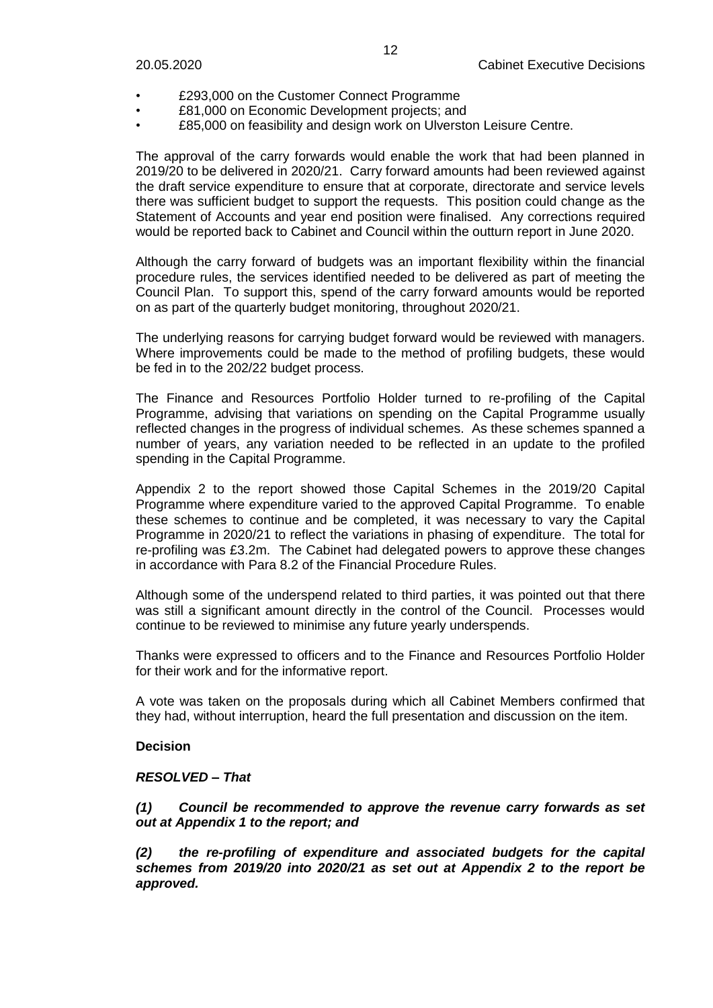- £293,000 on the Customer Connect Programme
- £81,000 on Economic Development projects; and
- £85,000 on feasibility and design work on Ulverston Leisure Centre.

The approval of the carry forwards would enable the work that had been planned in 2019/20 to be delivered in 2020/21. Carry forward amounts had been reviewed against the draft service expenditure to ensure that at corporate, directorate and service levels there was sufficient budget to support the requests. This position could change as the Statement of Accounts and year end position were finalised. Any corrections required would be reported back to Cabinet and Council within the outturn report in June 2020.

Although the carry forward of budgets was an important flexibility within the financial procedure rules, the services identified needed to be delivered as part of meeting the Council Plan. To support this, spend of the carry forward amounts would be reported on as part of the quarterly budget monitoring, throughout 2020/21.

The underlying reasons for carrying budget forward would be reviewed with managers. Where improvements could be made to the method of profiling budgets, these would be fed in to the 202/22 budget process.

The Finance and Resources Portfolio Holder turned to re-profiling of the Capital Programme, advising that variations on spending on the Capital Programme usually reflected changes in the progress of individual schemes. As these schemes spanned a number of years, any variation needed to be reflected in an update to the profiled spending in the Capital Programme.

Appendix 2 to the report showed those Capital Schemes in the 2019/20 Capital Programme where expenditure varied to the approved Capital Programme. To enable these schemes to continue and be completed, it was necessary to vary the Capital Programme in 2020/21 to reflect the variations in phasing of expenditure. The total for re-profiling was £3.2m. The Cabinet had delegated powers to approve these changes in accordance with Para 8.2 of the Financial Procedure Rules.

Although some of the underspend related to third parties, it was pointed out that there was still a significant amount directly in the control of the Council. Processes would continue to be reviewed to minimise any future yearly underspends.

Thanks were expressed to officers and to the Finance and Resources Portfolio Holder for their work and for the informative report.

A vote was taken on the proposals during which all Cabinet Members confirmed that they had, without interruption, heard the full presentation and discussion on the item.

#### **Decision**

#### *RESOLVED – That*

*(1) Council be recommended to approve the revenue carry forwards as set out at Appendix 1 to the report; and*

*(2) the re-profiling of expenditure and associated budgets for the capital schemes from 2019/20 into 2020/21 as set out at Appendix 2 to the report be approved.*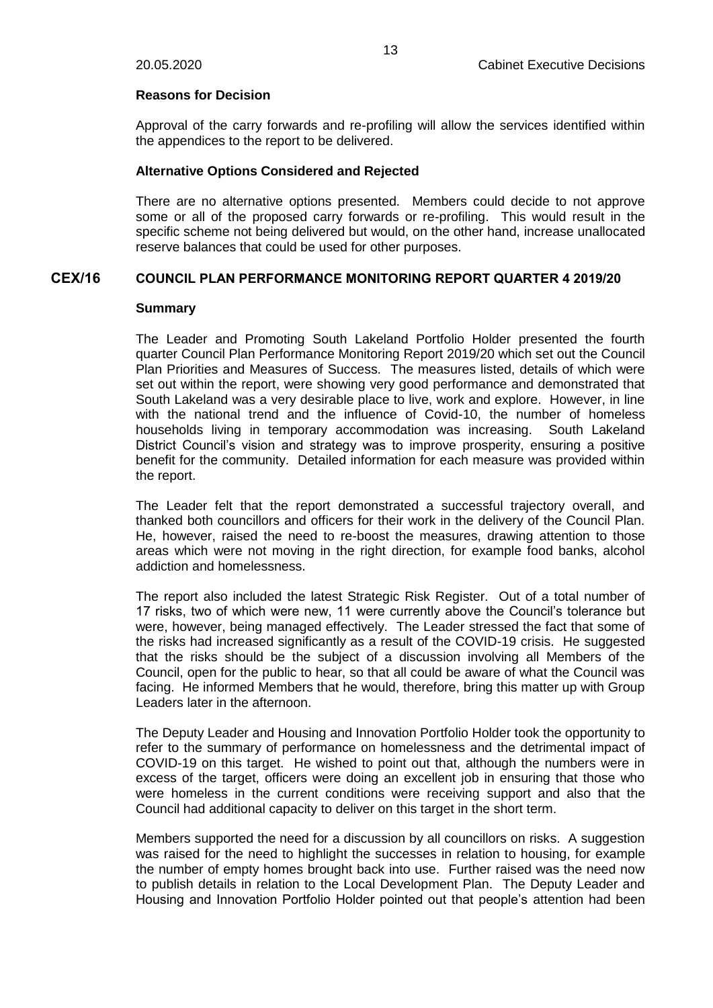#### **Reasons for Decision**

Approval of the carry forwards and re-profiling will allow the services identified within the appendices to the report to be delivered.

#### **Alternative Options Considered and Rejected**

There are no alternative options presented. Members could decide to not approve some or all of the proposed carry forwards or re-profiling. This would result in the specific scheme not being delivered but would, on the other hand, increase unallocated reserve balances that could be used for other purposes.

# **CEX/16 COUNCIL PLAN PERFORMANCE MONITORING REPORT QUARTER 4 2019/20**

#### **Summary**

The Leader and Promoting South Lakeland Portfolio Holder presented the fourth quarter Council Plan Performance Monitoring Report 2019/20 which set out the Council Plan Priorities and Measures of Success. The measures listed, details of which were set out within the report, were showing very good performance and demonstrated that South Lakeland was a very desirable place to live, work and explore. However, in line with the national trend and the influence of Covid-10, the number of homeless households living in temporary accommodation was increasing. South Lakeland District Council's vision and strategy was to improve prosperity, ensuring a positive benefit for the community. Detailed information for each measure was provided within the report.

The Leader felt that the report demonstrated a successful trajectory overall, and thanked both councillors and officers for their work in the delivery of the Council Plan. He, however, raised the need to re-boost the measures, drawing attention to those areas which were not moving in the right direction, for example food banks, alcohol addiction and homelessness.

The report also included the latest Strategic Risk Register. Out of a total number of 17 risks, two of which were new, 11 were currently above the Council's tolerance but were, however, being managed effectively. The Leader stressed the fact that some of the risks had increased significantly as a result of the COVID-19 crisis. He suggested that the risks should be the subject of a discussion involving all Members of the Council, open for the public to hear, so that all could be aware of what the Council was facing. He informed Members that he would, therefore, bring this matter up with Group Leaders later in the afternoon.

The Deputy Leader and Housing and Innovation Portfolio Holder took the opportunity to refer to the summary of performance on homelessness and the detrimental impact of COVID-19 on this target. He wished to point out that, although the numbers were in excess of the target, officers were doing an excellent job in ensuring that those who were homeless in the current conditions were receiving support and also that the Council had additional capacity to deliver on this target in the short term.

Members supported the need for a discussion by all councillors on risks. A suggestion was raised for the need to highlight the successes in relation to housing, for example the number of empty homes brought back into use. Further raised was the need now to publish details in relation to the Local Development Plan. The Deputy Leader and Housing and Innovation Portfolio Holder pointed out that people's attention had been